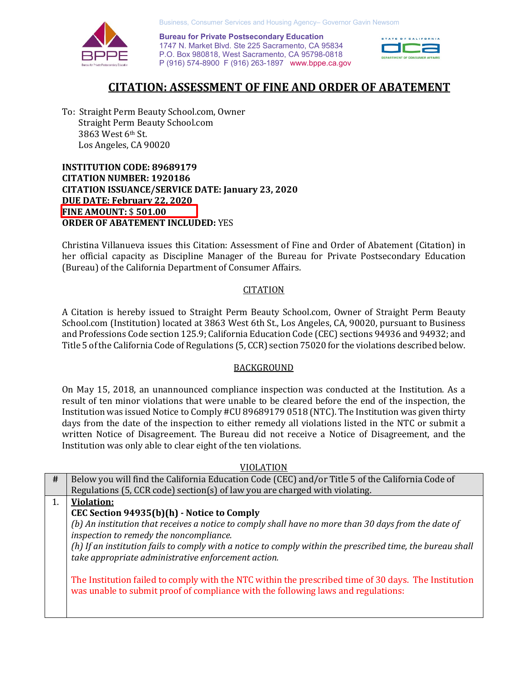

 P (916) 574-8900 F (916) 263-1897 <www.bppe.ca.gov> **Exercise Postsecondary Education**<br>1747 N. Market Blvd. Ste 225 Sacramento, CA 95834<br>P.O. Box 980818, West Sacramento, CA 95798-0818 **Bureau for Private Postsecondary Education**  1747 N. Market Blvd. Ste 225 Sacramento, CA 95834



# **CITATION: ASSESSMENT OF FINE AND ORDER OF ABATEMENT**

 To: Straight Perm Beauty [School.com](https://School.com), Owner Straight Perm Beauty [School.com](https://School.com) 3863 West 6th St. Los Angeles, CA 90020

 **INSTITUTION CODE: 89689179 CITATION NUMBER: 1920186 CITATION ISSUANCE/SERVICE DATE: January 23, 2020 DUE DATE: February 22, 2020 FINE AMOUNT:** \$ **501.00 ORDER OF ABATEMENT INCLUDED:** YES

 Christina Villanueva issues this Citation: Assessment of Fine and Order of Abatement (Citation) in her official capacity as Discipline Manager of the Bureau for Private Postsecondary Education (Bureau) of the California Department of Consumer Affairs.

### **CITATION**

 A Citation is hereby issued to Straight Perm Beauty [School.com](https://School.com), Owner of Straight Perm Beauty [School.com](https://School.com) (Institution) located at 3863 West 6th St., Los Angeles, CA, 90020, pursuant to Business and Professions Code section 125.9; California Education Code (CEC) sections 94936 and 94932; and Title 5 of the California Code of Regulations (5, CCR) section 75020 for the violations described below.

### BACKGROUND

 Institution was issued Notice to Comply #CU 89689179 0518 (NTC). The Institution was given thirty Institution was only able to clear eight of the ten violations. On May 15, 2018, an unannounced compliance inspection was conducted at the Institution. As a result of ten minor violations that were unable to be cleared before the end of the inspection, the days from the date of the inspection to either remedy all violations listed in the NTC or submit a written Notice of Disagreement. The Bureau did not receive a Notice of Disagreement, and the

VIOLATION

| #  | Below you will find the California Education Code (CEC) and/or Title 5 of the California Code of           |
|----|------------------------------------------------------------------------------------------------------------|
|    | Regulations (5, CCR code) section(s) of law you are charged with violating.                                |
| 1. | <b>Violation:</b>                                                                                          |
|    | CEC Section 94935(b)(h) - Notice to Comply                                                                 |
|    | (b) An institution that receives a notice to comply shall have no more than 30 days from the date of       |
|    | inspection to remedy the noncompliance.                                                                    |
|    | (h) If an institution fails to comply with a notice to comply within the prescribed time, the bureau shall |
|    | take appropriate administrative enforcement action.                                                        |
|    |                                                                                                            |
|    | The Institution failed to comply with the NTC within the prescribed time of 30 days. The Institution       |
|    | was unable to submit proof of compliance with the following laws and regulations:                          |
|    |                                                                                                            |
|    |                                                                                                            |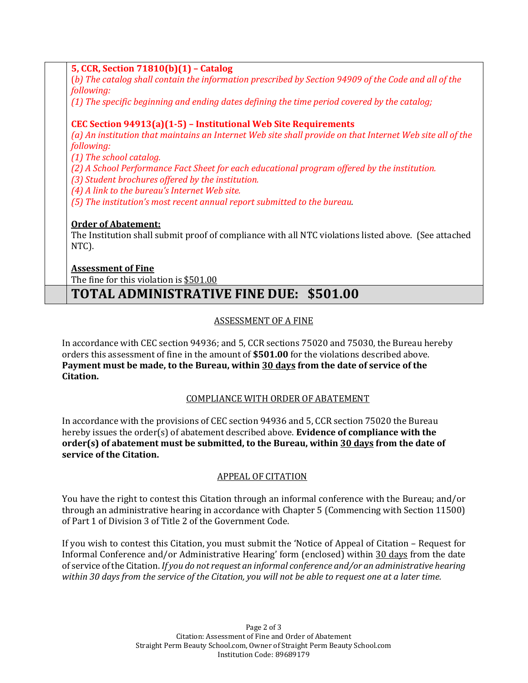# **5, CCR, Section 71810(b)(1) – Catalog**

 (*b) The catalog shall contain the information prescribed by Section 94909 of the Code and all of the following:* 

*(1) The specific beginning and ending dates defining the time period covered by the catalog;* 

# **CEC Section 94913(a)(1-5) – Institutional Web Site Requirements**

 *(a) An institution that maintains an Internet Web site shall provide on that Internet Web site all of the following:* 

*(1) The school catalog.* 

*(2) A School Performance Fact Sheet for each educational program offered by the institution.* 

*(3) Student brochures offered by the institution.* 

 *(4) A link to the bureau's Internet Web site.* 

 *(5) The institution's most recent annual report submitted to the bureau.* 

# **Order of Abatement:**

 NTC). The Institution shall submit proof of compliance with all NTC violations listed above. (See attached

# **Assessment of Fine**

The fine for this violation is \$501.00

# **TOTAL ADMINISTRATIVE FINE DUE: \$501.00**

# ASSESSMENT OF A FINE

 orders this assessment of fine in the amount of **\$501.00** for the violations described above. In accordance with CEC section 94936; and 5, CCR sections 75020 and 75030, the Bureau hereby **Payment must be made, to the Bureau, within 30 days from the date of service of the Citation.** 

# COMPLIANCE WITH ORDER OF ABATEMENT

In accordance with the provisions of CEC section 94936 and 5, CCR section 75020 the Bureau hereby issues the order(s) of abatement described above. **Evidence of compliance with the order(s) of abatement must be submitted, to the Bureau, within 30 days from the date of service of the Citation.** 

## APPEAL OF CITATION

of Part 1 of Division 3 of Title 2 of the Government Code. You have the right to contest this Citation through an informal conference with the Bureau; and/or through an administrative hearing in accordance with Chapter 5 (Commencing with Section 11500)

 Informal Conference and/or Administrative Hearing' form (enclosed) within 30 days from the date  *within 30 days from the service of the Citation, you will not be able to request one at a later time.*  If you wish to contest this Citation, you must submit the 'Notice of Appeal of Citation – Request for of service of the Citation. *If you do not request an informal conference and/or an administrative hearing*